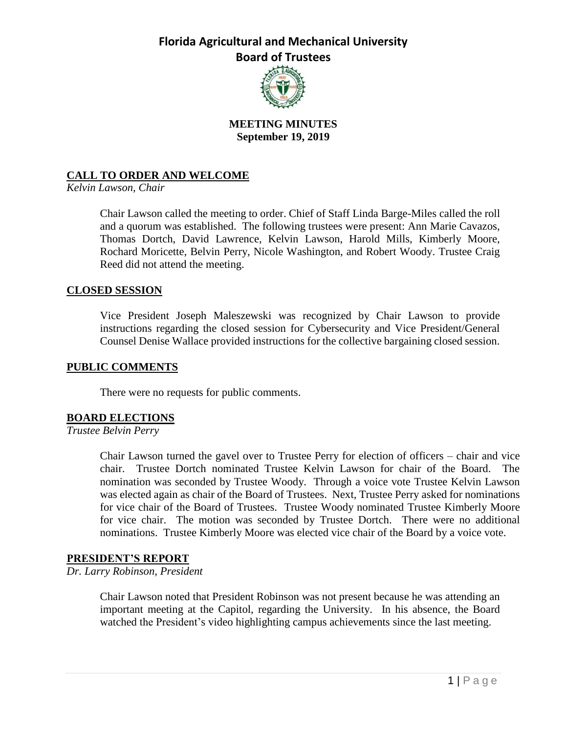

## **MEETING MINUTES September 19, 2019**

## **CALL TO ORDER AND WELCOME**

*Kelvin Lawson, Chair*

Chair Lawson called the meeting to order. Chief of Staff Linda Barge-Miles called the roll and a quorum was established. The following trustees were present: Ann Marie Cavazos, Thomas Dortch, David Lawrence, Kelvin Lawson, Harold Mills, Kimberly Moore, Rochard Moricette, Belvin Perry, Nicole Washington, and Robert Woody. Trustee Craig Reed did not attend the meeting.

## **CLOSED SESSION**

Vice President Joseph Maleszewski was recognized by Chair Lawson to provide instructions regarding the closed session for Cybersecurity and Vice President/General Counsel Denise Wallace provided instructions for the collective bargaining closed session.

### **PUBLIC COMMENTS**

There were no requests for public comments.

### **BOARD ELECTIONS**

### *Trustee Belvin Perry*

Chair Lawson turned the gavel over to Trustee Perry for election of officers – chair and vice chair. Trustee Dortch nominated Trustee Kelvin Lawson for chair of the Board. The nomination was seconded by Trustee Woody. Through a voice vote Trustee Kelvin Lawson was elected again as chair of the Board of Trustees. Next, Trustee Perry asked for nominations for vice chair of the Board of Trustees. Trustee Woody nominated Trustee Kimberly Moore for vice chair. The motion was seconded by Trustee Dortch. There were no additional nominations. Trustee Kimberly Moore was elected vice chair of the Board by a voice vote.

### **PRESIDENT'S REPORT**

### *Dr. Larry Robinson, President*

Chair Lawson noted that President Robinson was not present because he was attending an important meeting at the Capitol, regarding the University. In his absence, the Board watched the President's video highlighting campus achievements since the last meeting.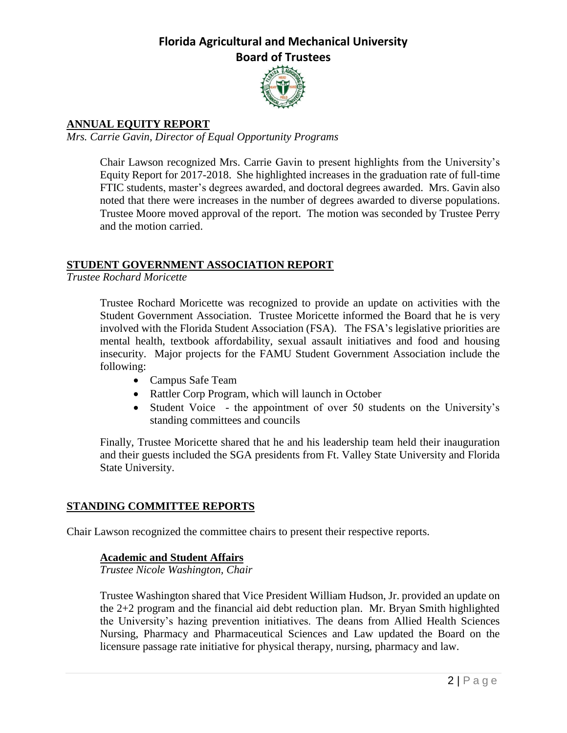

## **ANNUAL EQUITY REPORT**

*Mrs. Carrie Gavin, Director of Equal Opportunity Programs*

Chair Lawson recognized Mrs. Carrie Gavin to present highlights from the University's Equity Report for 2017-2018. She highlighted increases in the graduation rate of full-time FTIC students, master's degrees awarded, and doctoral degrees awarded. Mrs. Gavin also noted that there were increases in the number of degrees awarded to diverse populations. Trustee Moore moved approval of the report. The motion was seconded by Trustee Perry and the motion carried.

## **STUDENT GOVERNMENT ASSOCIATION REPORT**

*Trustee Rochard Moricette*

Trustee Rochard Moricette was recognized to provide an update on activities with the Student Government Association. Trustee Moricette informed the Board that he is very involved with the Florida Student Association (FSA). The FSA's legislative priorities are mental health, textbook affordability, sexual assault initiatives and food and housing insecurity. Major projects for the FAMU Student Government Association include the following:

- Campus Safe Team
- Rattler Corp Program, which will launch in October
- Student Voice the appointment of over 50 students on the University's standing committees and councils

Finally, Trustee Moricette shared that he and his leadership team held their inauguration and their guests included the SGA presidents from Ft. Valley State University and Florida State University.

## **STANDING COMMITTEE REPORTS**

Chair Lawson recognized the committee chairs to present their respective reports.

## **Academic and Student Affairs**

*Trustee Nicole Washington, Chair*

Trustee Washington shared that Vice President William Hudson, Jr. provided an update on the 2+2 program and the financial aid debt reduction plan. Mr. Bryan Smith highlighted the University's hazing prevention initiatives. The deans from Allied Health Sciences Nursing, Pharmacy and Pharmaceutical Sciences and Law updated the Board on the licensure passage rate initiative for physical therapy, nursing, pharmacy and law.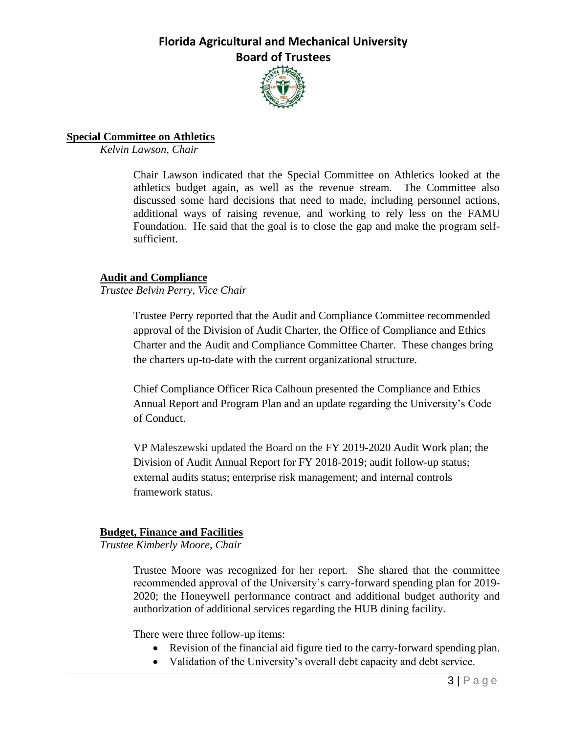

## **Special Committee on Athletics**

*Kelvin Lawson, Chair*

Chair Lawson indicated that the Special Committee on Athletics looked at the athletics budget again, as well as the revenue stream. The Committee also discussed some hard decisions that need to made, including personnel actions, additional ways of raising revenue, and working to rely less on the FAMU Foundation. He said that the goal is to close the gap and make the program selfsufficient.

## **Audit and Compliance**

*Trustee Belvin Perry, Vice Chair*

Trustee Perry reported that the Audit and Compliance Committee recommended approval of the Division of Audit Charter, the Office of Compliance and Ethics Charter and the Audit and Compliance Committee Charter. These changes bring the charters up-to-date with the current organizational structure.

Chief Compliance Officer Rica Calhoun presented the Compliance and Ethics Annual Report and Program Plan and an update regarding the University's Code of Conduct.

VP Maleszewski updated the Board on the FY 2019-2020 Audit Work plan; the Division of Audit Annual Report for FY 2018-2019; audit follow-up status; external audits status; enterprise risk management; and internal controls framework status.

## **Budget, Finance and Facilities**

*Trustee Kimberly Moore, Chair*

Trustee Moore was recognized for her report. She shared that the committee recommended approval of the University's carry-forward spending plan for 2019- 2020; the Honeywell performance contract and additional budget authority and authorization of additional services regarding the HUB dining facility.

There were three follow-up items:

- Revision of the financial aid figure tied to the carry-forward spending plan.
- Validation of the University's overall debt capacity and debt service.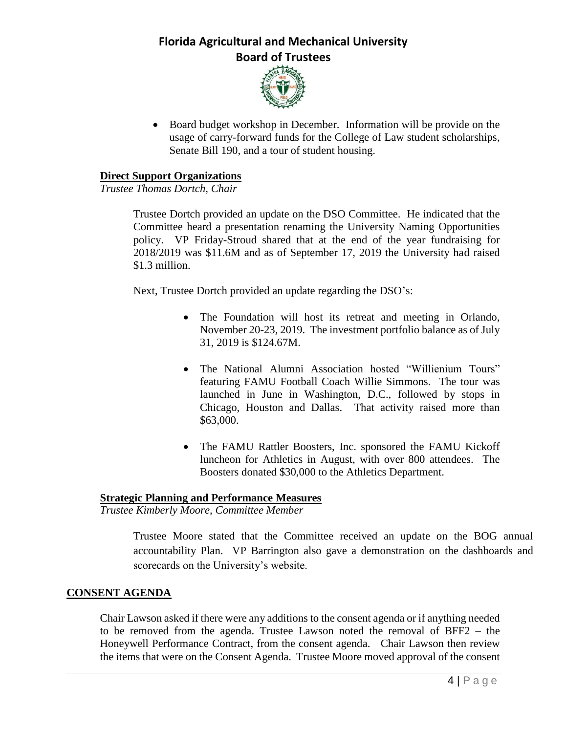

 Board budget workshop in December. Information will be provide on the usage of carry-forward funds for the College of Law student scholarships, Senate Bill 190, and a tour of student housing.

### **Direct Support Organizations**

*Trustee Thomas Dortch, Chair*

Trustee Dortch provided an update on the DSO Committee. He indicated that the Committee heard a presentation renaming the University Naming Opportunities policy. VP Friday-Stroud shared that at the end of the year fundraising for 2018/2019 was \$11.6M and as of September 17, 2019 the University had raised \$1.3 million.

Next, Trustee Dortch provided an update regarding the DSO's:

- The Foundation will host its retreat and meeting in Orlando, November 20-23, 2019. The investment portfolio balance as of July 31, 2019 is \$124.67M.
- The National Alumni Association hosted "Willienium Tours" featuring FAMU Football Coach Willie Simmons. The tour was launched in June in Washington, D.C., followed by stops in Chicago, Houston and Dallas. That activity raised more than \$63,000.
- The FAMU Rattler Boosters, Inc. sponsored the FAMU Kickoff luncheon for Athletics in August, with over 800 attendees. The Boosters donated \$30,000 to the Athletics Department.

## **Strategic Planning and Performance Measures**

*Trustee Kimberly Moore, Committee Member*

Trustee Moore stated that the Committee received an update on the BOG annual accountability Plan. VP Barrington also gave a demonstration on the dashboards and scorecards on the University's website.

### **CONSENT AGENDA**

Chair Lawson asked if there were any additions to the consent agenda or if anything needed to be removed from the agenda. Trustee Lawson noted the removal of BFF2 – the Honeywell Performance Contract, from the consent agenda. Chair Lawson then review the items that were on the Consent Agenda. Trustee Moore moved approval of the consent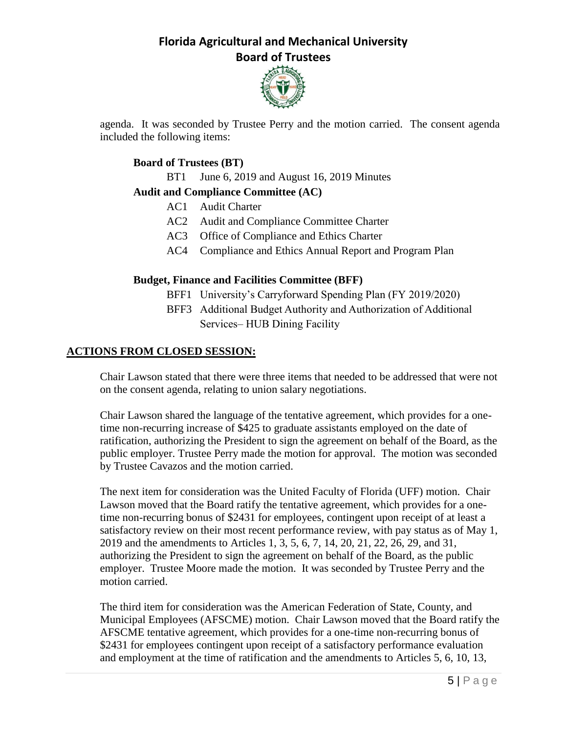

agenda. It was seconded by Trustee Perry and the motion carried. The consent agenda included the following items:

## **Board of Trustees (BT)**

BT1 June 6, 2019 and August 16, 2019 Minutes

## **Audit and Compliance Committee (AC)**

- AC1 Audit Charter
- AC2 Audit and Compliance Committee Charter
- AC3 Office of Compliance and Ethics Charter
- AC4 Compliance and Ethics Annual Report and Program Plan

## **Budget, Finance and Facilities Committee (BFF)**

- BFF1 University's Carryforward Spending Plan (FY 2019/2020)
- BFF3 Additional Budget Authority and Authorization of Additional Services– HUB Dining Facility

## **ACTIONS FROM CLOSED SESSION:**

Chair Lawson stated that there were three items that needed to be addressed that were not on the consent agenda, relating to union salary negotiations.

Chair Lawson shared the language of the tentative agreement, which provides for a onetime non-recurring increase of \$425 to graduate assistants employed on the date of ratification, authorizing the President to sign the agreement on behalf of the Board, as the public employer. Trustee Perry made the motion for approval. The motion was seconded by Trustee Cavazos and the motion carried.

The next item for consideration was the United Faculty of Florida (UFF) motion. Chair Lawson moved that the Board ratify the tentative agreement, which provides for a onetime non-recurring bonus of \$2431 for employees, contingent upon receipt of at least a satisfactory review on their most recent performance review, with pay status as of May 1, 2019 and the amendments to Articles 1, 3, 5, 6, 7, 14, 20, 21, 22, 26, 29, and 31, authorizing the President to sign the agreement on behalf of the Board, as the public employer. Trustee Moore made the motion. It was seconded by Trustee Perry and the motion carried.

The third item for consideration was the American Federation of State, County, and Municipal Employees (AFSCME) motion. Chair Lawson moved that the Board ratify the AFSCME tentative agreement, which provides for a one-time non-recurring bonus of \$2431 for employees contingent upon receipt of a satisfactory performance evaluation and employment at the time of ratification and the amendments to Articles 5, 6, 10, 13,